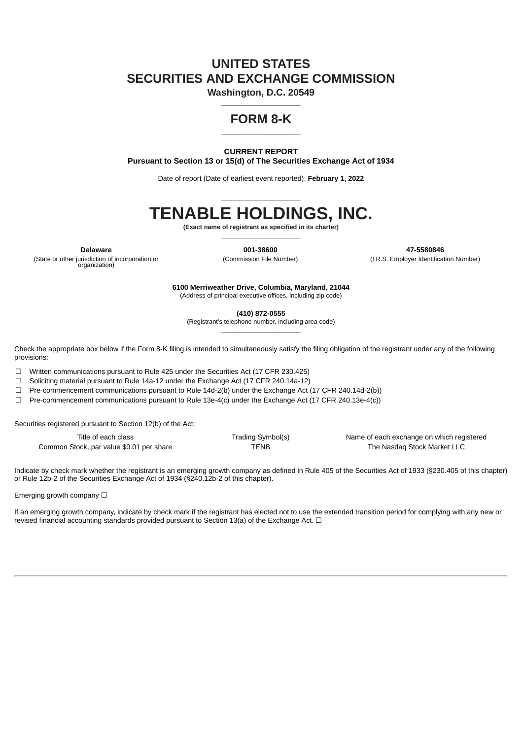# **UNITED STATES SECURITIES AND EXCHANGE COMMISSION**

**Washington, D.C. 20549 \_\_\_\_\_\_\_\_\_\_\_\_\_\_\_\_\_\_**

## **FORM 8-K \_\_\_\_\_\_\_\_\_\_\_\_\_\_\_\_\_\_**

**CURRENT REPORT**

**Pursuant to Section 13 or 15(d) of The Securities Exchange Act of 1934**

Date of report (Date of earliest event reported): **February 1, 2022**

## **\_\_\_\_\_\_\_\_\_\_\_\_\_\_\_\_\_\_ TENABLE HOLDINGS, INC.**

**(Exact name of registrant as specified in its charter) \_\_\_\_\_\_\_\_\_\_\_\_\_\_\_\_\_\_**

(State or other jurisdiction of incorporation or organization)

**Delaware 001-38600 47-5580846** (Commission File Number) (I.R.S. Employer Identification Number)

> **6100 Merriweather Drive, Columbia, Maryland, 21044** (Address of principal executive offices, including zip code)

> > **(410) 872-0555**

(Registrant's telephone number, including area code) **\_\_\_\_\_\_\_\_\_\_\_\_\_\_\_\_\_\_**

Check the appropriate box below if the Form 8-K filing is intended to simultaneously satisfy the filing obligation of the registrant under any of the following provisions:

☐ Written communications pursuant to Rule 425 under the Securities Act (17 CFR 230.425)

☐ Soliciting material pursuant to Rule 14a-12 under the Exchange Act (17 CFR 240.14a-12)

☐ Pre-commencement communications pursuant to Rule 14d-2(b) under the Exchange Act (17 CFR 240.14d-2(b))

☐ Pre-commencement communications pursuant to Rule 13e-4(c) under the Exchange Act (17 CFR 240.13e-4(c))

Securities registered pursuant to Section 12(b) of the Act:

| Title of each class                      | Trading Symbol(s) | Name of each exchange on which registered |
|------------------------------------------|-------------------|-------------------------------------------|
| Common Stock, par value \$0.01 per share | TENB              | The Nasdag Stock Market LLC               |

Indicate by check mark whether the registrant is an emerging growth company as defined in Rule 405 of the Securities Act of 1933 (§230.405 of this chapter) or Rule 12b-2 of the Securities Exchange Act of 1934 (§240.12b-2 of this chapter).

Emerging growth company  $\Box$ 

If an emerging growth company, indicate by check mark if the registrant has elected not to use the extended transition period for complying with any new or revised financial accounting standards provided pursuant to Section 13(a) of the Exchange Act.  $\Box$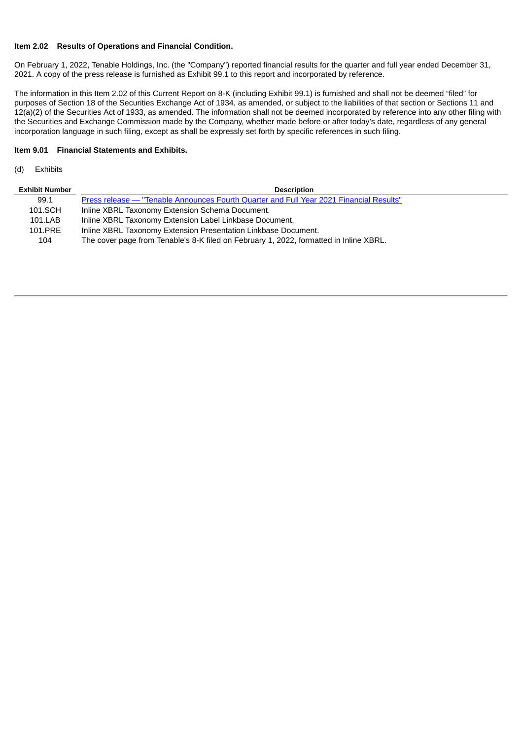### **Item 2.02 Results of Operations and Financial Condition.**

On February 1, 2022, Tenable Holdings, Inc. (the "Company") reported financial results for the quarter and full year ended December 31, 2021. A copy of the press release is furnished as Exhibit 99.1 to this report and incorporated by reference.

The information in this Item 2.02 of this Current Report on 8-K (including Exhibit 99.1) is furnished and shall not be deemed "filed" for purposes of Section 18 of the Securities Exchange Act of 1934, as amended, or subject to the liabilities of that section or Sections 11 and 12(a)(2) of the Securities Act of 1933, as amended. The information shall not be deemed incorporated by reference into any other filing with the Securities and Exchange Commission made by the Company, whether made before or after today's date, regardless of any general incorporation language in such filing, except as shall be expressly set forth by specific references in such filing.

## **Item 9.01 Financial Statements and Exhibits.**

#### (d) Exhibits

| <b>Exhibit Number</b> | <b>Description</b>                                                                      |
|-----------------------|-----------------------------------------------------------------------------------------|
| 99.1                  | Press release — "Tenable Announces Fourth Quarter and Full Year 2021 Financial Results" |
| 101.SCH               | Inline XBRL Taxonomy Extension Schema Document.                                         |
| 101.LAB               | Inline XBRL Taxonomy Extension Label Linkbase Document.                                 |
| 101.PRE               | Inline XBRL Taxonomy Extension Presentation Linkbase Document.                          |
| 104                   | The cover page from Tenable's 8-K filed on February 1, 2022, formatted in Inline XBRL.  |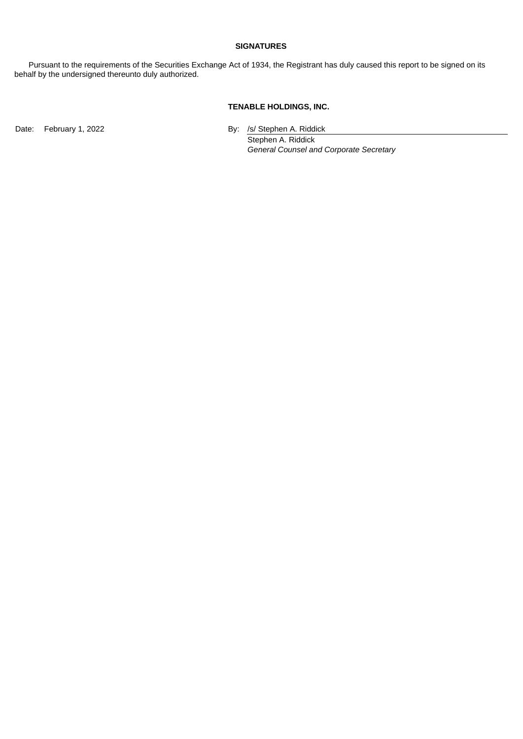## **SIGNATURES**

Pursuant to the requirements of the Securities Exchange Act of 1934, the Registrant has duly caused this report to be signed on its behalf by the undersigned thereunto duly authorized.

## **TENABLE HOLDINGS, INC.**

Date: February 1, 2022 **By: /s/ Stephen A. Riddick** 

Stephen A. Riddick *General Counsel and Corporate Secretary*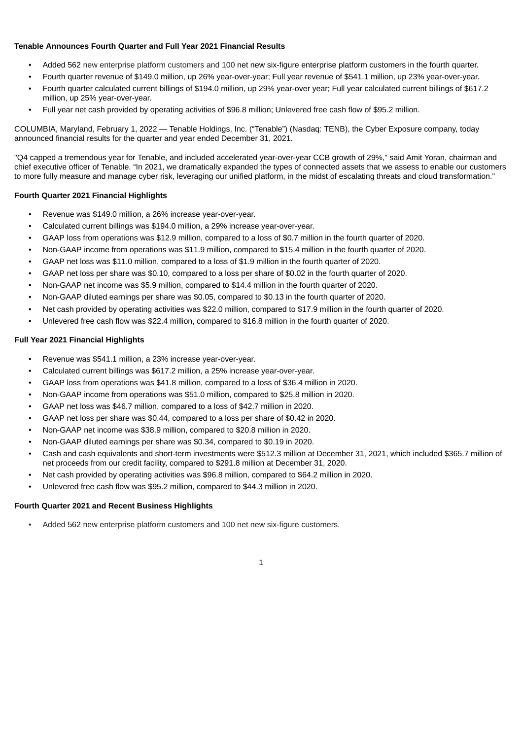## <span id="page-3-0"></span>**Tenable Announces Fourth Quarter and Full Year 2021 Financial Results**

- Added 562 new enterprise platform customers and 100 net new six-figure enterprise platform customers in the fourth quarter.
- Fourth quarter revenue of \$149.0 million, up 26% year-over-year; Full year revenue of \$541.1 million, up 23% year-over-year.
- Fourth quarter calculated current billings of \$194.0 million, up 29% year-over year; Full year calculated current billings of \$617.2 million, up 25% year-over-year.
- Full year net cash provided by operating activities of \$96.8 million; Unlevered free cash flow of \$95.2 million.

COLUMBIA, Maryland, February 1, 2022 — Tenable Holdings, Inc. ("Tenable") (Nasdaq: TENB), the Cyber Exposure company, today announced financial results for the quarter and year ended December 31, 2021.

"Q4 capped a tremendous year for Tenable, and included accelerated year-over-year CCB growth of 29%," said Amit Yoran, chairman and chief executive officer of Tenable. "In 2021, we dramatically expanded the types of connected assets that we assess to enable our customers to more fully measure and manage cyber risk, leveraging our unified platform, in the midst of escalating threats and cloud transformation."

## **Fourth Quarter 2021 Financial Highlights**

- Revenue was \$149.0 million, a 26% increase year-over-year.
- Calculated current billings was \$194.0 million, a 29% increase year-over-year.
- GAAP loss from operations was \$12.9 million, compared to a loss of \$0.7 million in the fourth quarter of 2020.
- Non-GAAP income from operations was \$11.9 million, compared to \$15.4 million in the fourth quarter of 2020.
- GAAP net loss was \$11.0 million, compared to a loss of \$1.9 million in the fourth quarter of 2020.
- GAAP net loss per share was \$0.10, compared to a loss per share of \$0.02 in the fourth quarter of 2020.
- Non-GAAP net income was \$5.9 million, compared to \$14.4 million in the fourth quarter of 2020.
- Non-GAAP diluted earnings per share was \$0.05, compared to \$0.13 in the fourth quarter of 2020.
- Net cash provided by operating activities was \$22.0 million, compared to \$17.9 million in the fourth quarter of 2020.
- Unlevered free cash flow was \$22.4 million, compared to \$16.8 million in the fourth quarter of 2020.

## **Full Year 2021 Financial Highlights**

- Revenue was \$541.1 million, a 23% increase year-over-year.
- Calculated current billings was \$617.2 million, a 25% increase year-over-year.
- GAAP loss from operations was \$41.8 million, compared to a loss of \$36.4 million in 2020.
- Non-GAAP income from operations was \$51.0 million, compared to \$25.8 million in 2020.
- GAAP net loss was \$46.7 million, compared to a loss of \$42.7 million in 2020.
- GAAP net loss per share was \$0.44, compared to a loss per share of \$0.42 in 2020.
- Non-GAAP net income was \$38.9 million, compared to \$20.8 million in 2020.
- Non-GAAP diluted earnings per share was \$0.34, compared to \$0.19 in 2020.
- Cash and cash equivalents and short-term investments were \$512.3 million at December 31, 2021, which included \$365.7 million of net proceeds from our credit facility, compared to \$291.8 million at December 31, 2020.
- Net cash provided by operating activities was \$96.8 million, compared to \$64.2 million in 2020.
- Unlevered free cash flow was \$95.2 million, compared to \$44.3 million in 2020.

#### **Fourth Quarter 2021 and Recent Business Highlights**

• Added 562 new enterprise platform customers and 100 net new six-figure customers.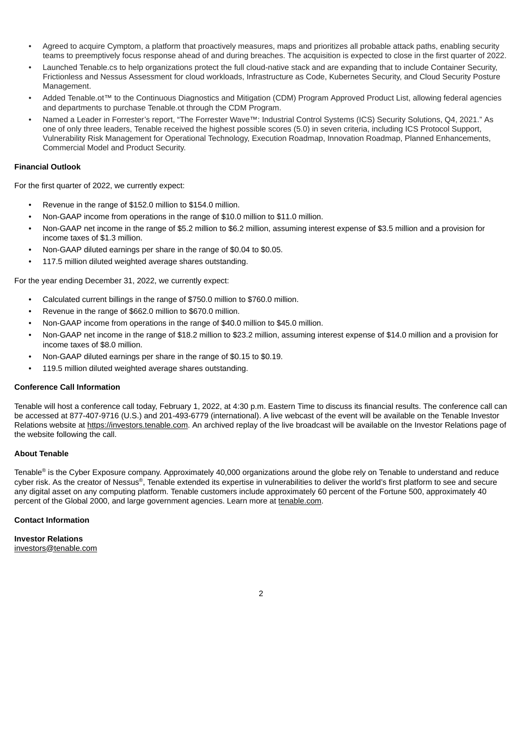- Agreed to acquire Cymptom, a platform that proactively measures, maps and prioritizes all probable attack paths, enabling security teams to preemptively focus response ahead of and during breaches. The acquisition is expected to close in the first quarter of 2022.
- Launched Tenable.cs to help organizations protect the full cloud-native stack and are expanding that to include Container Security, Frictionless and Nessus Assessment for cloud workloads, Infrastructure as Code, Kubernetes Security, and Cloud Security Posture Management.
- Added Tenable.ot™ to the Continuous Diagnostics and Mitigation (CDM) Program Approved Product List, allowing federal agencies and departments to purchase Tenable.ot through the CDM Program.
- Named a Leader in Forrester's report, "The Forrester Wave™: Industrial Control Systems (ICS) Security Solutions, Q4, 2021." As one of only three leaders, Tenable received the highest possible scores (5.0) in seven criteria, including ICS Protocol Support, Vulnerability Risk Management for Operational Technology, Execution Roadmap, Innovation Roadmap, Planned Enhancements, Commercial Model and Product Security.

#### **Financial Outlook**

For the first quarter of 2022, we currently expect:

- Revenue in the range of \$152.0 million to \$154.0 million.
- Non-GAAP income from operations in the range of \$10.0 million to \$11.0 million.
- Non-GAAP net income in the range of \$5.2 million to \$6.2 million, assuming interest expense of \$3.5 million and a provision for income taxes of \$1.3 million.
- Non-GAAP diluted earnings per share in the range of \$0.04 to \$0.05.
- 117.5 million diluted weighted average shares outstanding.

For the year ending December 31, 2022, we currently expect:

- Calculated current billings in the range of \$750.0 million to \$760.0 million.
- Revenue in the range of \$662.0 million to \$670.0 million.
- Non-GAAP income from operations in the range of \$40.0 million to \$45.0 million.
- Non-GAAP net income in the range of \$18.2 million to \$23.2 million, assuming interest expense of \$14.0 million and a provision for income taxes of \$8.0 million.
- Non-GAAP diluted earnings per share in the range of \$0.15 to \$0.19.
- 119.5 million diluted weighted average shares outstanding.

#### **Conference Call Information**

Tenable will host a conference call today, February 1, 2022, at 4:30 p.m. Eastern Time to discuss its financial results. The conference call can be accessed at 877-407-9716 (U.S.) and 201-493-6779 (international). A live webcast of the event will be available on the Tenable Investor Relations website at https://investors.tenable.com. An archived replay of the live broadcast will be available on the Investor Relations page of the website following the call.

#### **About Tenable**

Tenable® is the Cyber Exposure company. Approximately 40,000 organizations around the globe rely on Tenable to understand and reduce cyber risk. As the creator of Nessus®, Tenable extended its expertise in vulnerabilities to deliver the world's first platform to see and secure any digital asset on any computing platform. Tenable customers include approximately 60 percent of the Fortune 500, approximately 40 percent of the Global 2000, and large government agencies. Learn more at tenable.com.

#### **Contact Information**

**Investor Relations** investors@tenable.com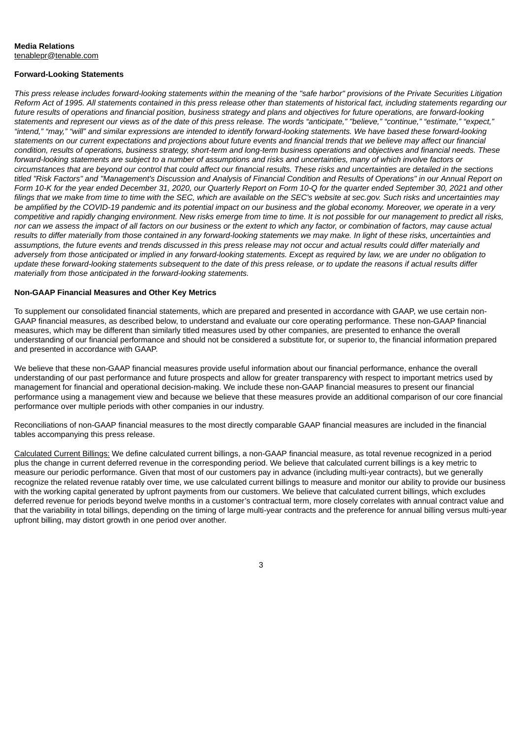## **Media Relations** tenablepr@tenable.com

#### **Forward-Looking Statements**

This press release includes forward-looking statements within the meaning of the "safe harbor" provisions of the Private Securities Litigation Reform Act of 1995. All statements contained in this press release other than statements of historical fact, including statements regarding our future results of operations and financial position, business strategy and plans and objectives for future operations, are forward-looking statements and represent our views as of the date of this press release. The words "anticipate." "believe." "continue." "estimate." "expect." "intend." "may." "will" and similar expressions are intended to identify forward-looking statements. We have based these forward-looking statements on our current expectations and projections about future events and financial trends that we believe may affect our financial condition, results of operations, business strategy, short-term and long-term business operations and objectives and financial needs. These forward-looking statements are subject to a number of assumptions and risks and uncertainties, many of which involve factors or circumstances that are beyond our control that could affect our financial results. These risks and uncertainties are detailed in the sections titled "Risk Factors" and "Management's Discussion and Analysis of Financial Condition and Results of Operations" in our Annual Report on Form 10-K for the year ended December 31, 2020, our Ouarterly Report on Form 10-O for the quarter ended September 30, 2021 and other filings that we make from time to time with the SEC, which are available on the SEC's website at sec.gov. Such risks and uncertainties may be amplified by the COVID-19 pandemic and its potential impact on our business and the global economy. Moreover, we operate in a very competitive and rapidly changing environment. New risks emerge from time to time. It is not possible for our management to predict all risks, nor can we assess the impact of all factors on our business or the extent to which any factor, or combination of factors, may cause actual results to differ materially from those contained in any forward-looking statements we may make. In light of these risks, uncertainties and assumptions, the future events and trends discussed in this press release may not occur and actual results could differ materially and adversely from those anticipated or implied in any forward-looking statements. Except as required by law, we are under no obligation to update these forward-looking statements subsequent to the date of this press release, or to update the reasons if actual results differ *materially from those anticipated in the forward-looking statements.*

## **Non-GAAP Financial Measures and Other Key Metrics**

To supplement our consolidated financial statements, which are prepared and presented in accordance with GAAP, we use certain non-GAAP financial measures, as described below, to understand and evaluate our core operating performance. These non-GAAP financial measures, which may be different than similarly titled measures used by other companies, are presented to enhance the overall understanding of our financial performance and should not be considered a substitute for, or superior to, the financial information prepared and presented in accordance with GAAP.

We believe that these non-GAAP financial measures provide useful information about our financial performance, enhance the overall understanding of our past performance and future prospects and allow for greater transparency with respect to important metrics used by management for financial and operational decision-making. We include these non-GAAP financial measures to present our financial performance using a management view and because we believe that these measures provide an additional comparison of our core financial performance over multiple periods with other companies in our industry.

Reconciliations of non-GAAP financial measures to the most directly comparable GAAP financial measures are included in the financial tables accompanying this press release.

Calculated Current Billings: We define calculated current billings, a non-GAAP financial measure, as total revenue recognized in a period plus the change in current deferred revenue in the corresponding period. We believe that calculated current billings is a key metric to measure our periodic performance. Given that most of our customers pay in advance (including multi-year contracts), but we generally recognize the related revenue ratably over time, we use calculated current billings to measure and monitor our ability to provide our business with the working capital generated by upfront payments from our customers. We believe that calculated current billings, which excludes deferred revenue for periods beyond twelve months in a customer's contractual term, more closely correlates with annual contract value and that the variability in total billings, depending on the timing of large multi-year contracts and the preference for annual billing versus multi-year upfront billing, may distort growth in one period over another.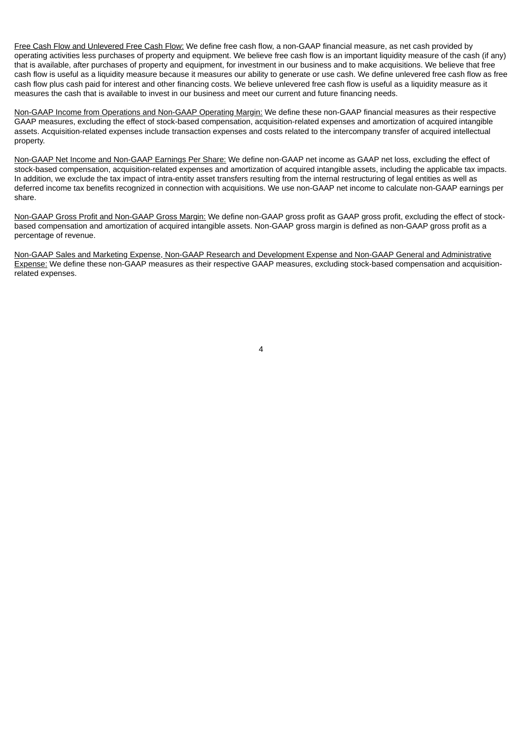Free Cash Flow and Unlevered Free Cash Flow: We define free cash flow, a non-GAAP financial measure, as net cash provided by operating activities less purchases of property and equipment. We believe free cash flow is an important liquidity measure of the cash (if any) that is available, after purchases of property and equipment, for investment in our business and to make acquisitions. We believe that free cash flow is useful as a liquidity measure because it measures our ability to generate or use cash. We define unlevered free cash flow as free cash flow plus cash paid for interest and other financing costs. We believe unlevered free cash flow is useful as a liquidity measure as it measures the cash that is available to invest in our business and meet our current and future financing needs.

Non-GAAP Income from Operations and Non-GAAP Operating Margin: We define these non-GAAP financial measures as their respective GAAP measures, excluding the effect of stock-based compensation, acquisition-related expenses and amortization of acquired intangible assets. Acquisition-related expenses include transaction expenses and costs related to the intercompany transfer of acquired intellectual property.

Non-GAAP Net Income and Non-GAAP Earnings Per Share: We define non-GAAP net income as GAAP net loss, excluding the effect of stock-based compensation, acquisition-related expenses and amortization of acquired intangible assets, including the applicable tax impacts. In addition, we exclude the tax impact of intra-entity asset transfers resulting from the internal restructuring of legal entities as well as deferred income tax benefits recognized in connection with acquisitions. We use non-GAAP net income to calculate non-GAAP earnings per share.

Non-GAAP Gross Profit and Non-GAAP Gross Margin: We define non-GAAP gross profit as GAAP gross profit, excluding the effect of stockbased compensation and amortization of acquired intangible assets. Non-GAAP gross margin is defined as non-GAAP gross profit as a percentage of revenue.

Non-GAAP Sales and Marketing Expense, Non-GAAP Research and Development Expense and Non-GAAP General and Administrative Expense: We define these non-GAAP measures as their respective GAAP measures, excluding stock-based compensation and acquisitionrelated expenses.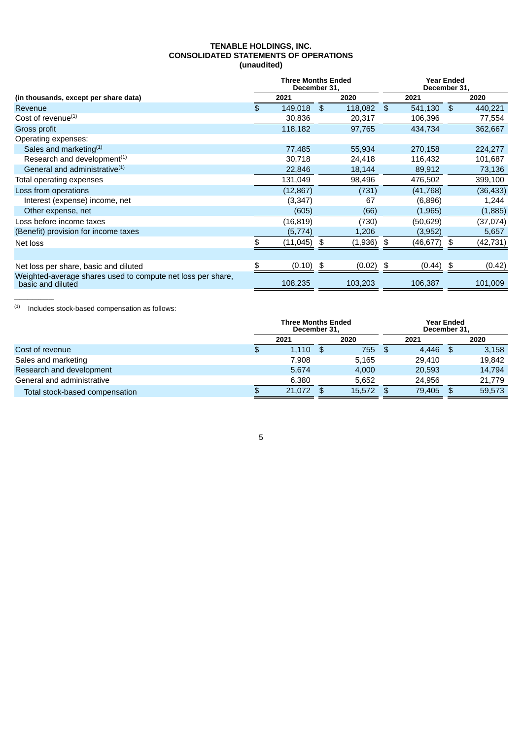## **TENABLE HOLDINGS, INC. CONSOLIDATED STATEMENTS OF OPERATIONS (unaudited)**

|                                                                                  | <b>Three Months Ended</b><br>December 31, |           |                |         |                |            | <b>Year Ended</b><br>December 31, |           |  |  |  |
|----------------------------------------------------------------------------------|-------------------------------------------|-----------|----------------|---------|----------------|------------|-----------------------------------|-----------|--|--|--|
| (in thousands, except per share data)                                            |                                           | 2021      |                | 2020    |                | 2021       |                                   | 2020      |  |  |  |
| Revenue                                                                          | \$                                        | 149,018   | $\mathfrak{L}$ | 118,082 | $\mathfrak{L}$ | 541,130 \$ |                                   | 440,221   |  |  |  |
| Cost of revenue <sup>(1)</sup>                                                   |                                           | 30,836    |                | 20,317  |                | 106,396    |                                   | 77,554    |  |  |  |
| Gross profit                                                                     |                                           | 118,182   |                | 97,765  |                | 434,734    |                                   | 362,667   |  |  |  |
| Operating expenses:                                                              |                                           |           |                |         |                |            |                                   |           |  |  |  |
| Sales and marketing $(1)$                                                        |                                           | 77,485    |                | 55,934  |                | 270,158    |                                   | 224,277   |  |  |  |
| Research and development <sup>(1)</sup>                                          |                                           | 30,718    |                | 24,418  |                | 116,432    |                                   | 101,687   |  |  |  |
| General and administrative <sup>(1)</sup>                                        |                                           | 22,846    |                | 18,144  |                | 89,912     |                                   | 73,136    |  |  |  |
| Total operating expenses                                                         |                                           | 131,049   |                | 98,496  |                | 476,502    |                                   | 399,100   |  |  |  |
| Loss from operations                                                             |                                           | (12, 867) |                | (731)   |                | (41, 768)  |                                   | (36, 433) |  |  |  |
| Interest (expense) income, net                                                   |                                           | (3, 347)  |                | 67      |                | (6,896)    |                                   | 1,244     |  |  |  |
| Other expense, net                                                               |                                           | (605)     |                | (66)    |                | (1, 965)   |                                   | (1,885)   |  |  |  |
| Loss before income taxes                                                         |                                           | (16, 819) |                | (730)   |                | (50, 629)  |                                   | (37,074)  |  |  |  |
| (Benefit) provision for income taxes                                             |                                           | (5,774)   |                | 1,206   |                | (3,952)    |                                   | 5,657     |  |  |  |
| Net loss                                                                         | \$                                        | (11,045)  | \$             | (1,936) | \$             | (46,677)   | \$                                | (42, 731) |  |  |  |
|                                                                                  |                                           |           |                |         |                |            |                                   |           |  |  |  |
| Net loss per share, basic and diluted                                            | \$                                        | (0.10)    | \$             | (0.02)  | \$             | (0.44)     | \$                                | (0.42)    |  |  |  |
| Weighted-average shares used to compute net loss per share,<br>basic and diluted |                                           | 108,235   |                | 103,203 |                | 106,387    |                                   | 101,009   |  |  |  |

 $(1)$  Includes stock-based compensation as follows:

 $\frac{1}{2}$ 

|                                | <b>Three Months Ended</b><br>December 31. |        |      |        | <b>Year Ended</b><br>December 31. |            |     |        |
|--------------------------------|-------------------------------------------|--------|------|--------|-----------------------------------|------------|-----|--------|
|                                |                                           | 2021   |      | 2020   |                                   | 2021       |     | 2020   |
| Cost of revenue                | \$                                        | 1,110  | - SS | 755    | -\$                               | $4.446$ \$ |     | 3,158  |
| Sales and marketing            |                                           | 7.908  |      | 5.165  |                                   | 29.410     |     | 19,842 |
| Research and development       |                                           | 5.674  |      | 4.000  |                                   | 20.593     |     | 14,794 |
| General and administrative     |                                           | 6.380  |      | 5.652  |                                   | 24.956     |     | 21.779 |
| Total stock-based compensation |                                           | 21,072 | \$.  | 15,572 | \$.                               | 79,405     | \$. | 59,573 |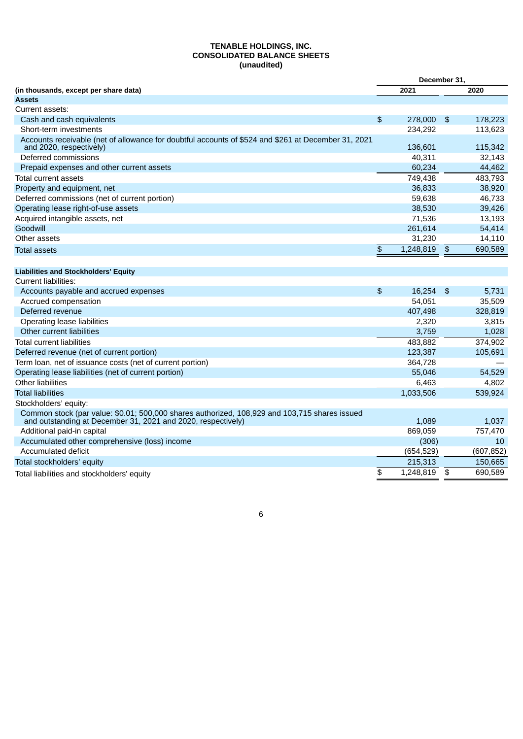## **TENABLE HOLDINGS, INC. CONSOLIDATED BALANCE SHEETS (unaudited)**

|                                                                                                                                                               |                      |            | December 31,  |            |  |
|---------------------------------------------------------------------------------------------------------------------------------------------------------------|----------------------|------------|---------------|------------|--|
| (in thousands, except per share data)                                                                                                                         |                      | 2021       |               | 2020       |  |
| <b>Assets</b>                                                                                                                                                 |                      |            |               |            |  |
| Current assets:                                                                                                                                               |                      |            |               |            |  |
| Cash and cash equivalents                                                                                                                                     | $\frac{1}{2}$        | 278,000 \$ |               | 178,223    |  |
| Short-term investments                                                                                                                                        |                      | 234.292    |               | 113,623    |  |
| Accounts receivable (net of allowance for doubtful accounts of \$524 and \$261 at December 31, 2021<br>and 2020, respectively)                                |                      | 136,601    |               | 115,342    |  |
| Deferred commissions                                                                                                                                          |                      | 40,311     |               | 32,143     |  |
| Prepaid expenses and other current assets                                                                                                                     |                      | 60,234     |               | 44,462     |  |
| <b>Total current assets</b>                                                                                                                                   |                      | 749,438    |               | 483,793    |  |
| Property and equipment, net                                                                                                                                   |                      | 36,833     |               | 38,920     |  |
| Deferred commissions (net of current portion)                                                                                                                 |                      | 59,638     |               | 46,733     |  |
| Operating lease right-of-use assets                                                                                                                           |                      | 38,530     |               | 39,426     |  |
| Acquired intangible assets, net                                                                                                                               |                      | 71,536     |               | 13,193     |  |
| Goodwill                                                                                                                                                      |                      | 261,614    |               | 54,414     |  |
| Other assets                                                                                                                                                  |                      | 31,230     |               | 14,110     |  |
| <b>Total assets</b>                                                                                                                                           | $\pmb{\mathfrak{s}}$ | 1,248,819  | $\frac{4}{5}$ | 690,589    |  |
|                                                                                                                                                               |                      |            |               |            |  |
| <b>Liabilities and Stockholders' Equity</b>                                                                                                                   |                      |            |               |            |  |
| <b>Current liabilities:</b>                                                                                                                                   |                      |            |               |            |  |
| Accounts payable and accrued expenses                                                                                                                         | $\frac{1}{2}$        | 16,254     | \$            | 5,731      |  |
| Accrued compensation                                                                                                                                          |                      | 54,051     |               | 35,509     |  |
| Deferred revenue                                                                                                                                              |                      | 407,498    |               | 328,819    |  |
| Operating lease liabilities                                                                                                                                   |                      | 2,320      |               | 3.815      |  |
| Other current liabilities                                                                                                                                     |                      | 3,759      |               | 1,028      |  |
| <b>Total current liabilities</b>                                                                                                                              |                      | 483,882    |               | 374,902    |  |
| Deferred revenue (net of current portion)                                                                                                                     |                      | 123,387    |               | 105,691    |  |
| Term loan, net of issuance costs (net of current portion)                                                                                                     |                      | 364,728    |               |            |  |
| Operating lease liabilities (net of current portion)                                                                                                          |                      | 55,046     |               | 54,529     |  |
| Other liabilities                                                                                                                                             |                      | 6,463      |               | 4,802      |  |
| <b>Total liabilities</b>                                                                                                                                      |                      | 1,033,506  |               | 539,924    |  |
| Stockholders' equity:                                                                                                                                         |                      |            |               |            |  |
| Common stock (par value: \$0.01; 500,000 shares authorized, 108,929 and 103,715 shares issued<br>and outstanding at December 31, 2021 and 2020, respectively) |                      | 1,089      |               | 1,037      |  |
| Additional paid-in capital                                                                                                                                    |                      | 869,059    |               | 757,470    |  |
| Accumulated other comprehensive (loss) income                                                                                                                 |                      | (306)      |               | 10         |  |
| Accumulated deficit                                                                                                                                           |                      | (654, 529) |               | (607, 852) |  |
| Total stockholders' equity                                                                                                                                    |                      | 215,313    |               | 150,665    |  |
| Total liabilities and stockholders' equity                                                                                                                    | \$                   | 1,248,819  | \$            | 690.589    |  |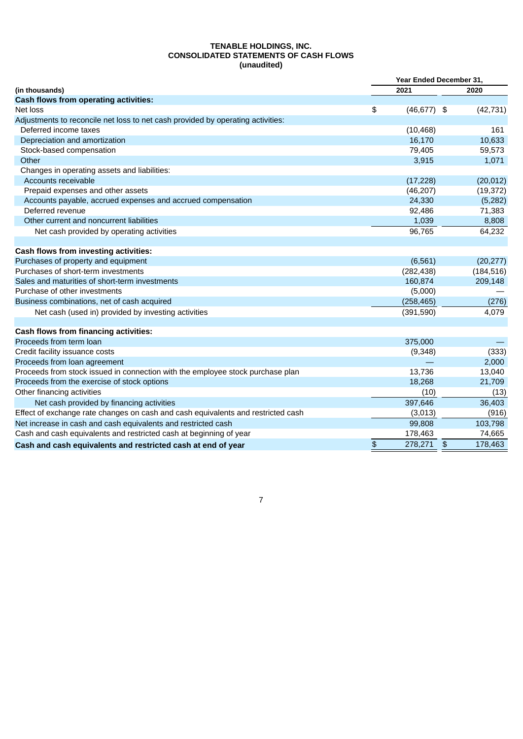#### **TENABLE HOLDINGS, INC. CONSOLIDATED STATEMENTS OF CASH FLOWS (unaudited)**

|                                                                                  | Year Ended December 31, |               |  |  |  |  |  |  |
|----------------------------------------------------------------------------------|-------------------------|---------------|--|--|--|--|--|--|
| (in thousands)                                                                   | 2021                    | 2020          |  |  |  |  |  |  |
| Cash flows from operating activities:                                            |                         |               |  |  |  |  |  |  |
| Net loss                                                                         | \$<br>$(46, 677)$ \$    | (42, 731)     |  |  |  |  |  |  |
| Adjustments to reconcile net loss to net cash provided by operating activities:  |                         |               |  |  |  |  |  |  |
| Deferred income taxes                                                            | (10, 468)               | 161           |  |  |  |  |  |  |
| Depreciation and amortization                                                    | 16,170                  | 10,633        |  |  |  |  |  |  |
| Stock-based compensation                                                         | 79,405                  | 59,573        |  |  |  |  |  |  |
| Other                                                                            | 3,915                   | 1,071         |  |  |  |  |  |  |
| Changes in operating assets and liabilities:                                     |                         |               |  |  |  |  |  |  |
| Accounts receivable                                                              | (17, 228)               | (20, 012)     |  |  |  |  |  |  |
| Prepaid expenses and other assets                                                | (46, 207)               | (19, 372)     |  |  |  |  |  |  |
| Accounts payable, accrued expenses and accrued compensation                      | 24,330                  | (5, 282)      |  |  |  |  |  |  |
| Deferred revenue                                                                 | 92,486                  | 71,383        |  |  |  |  |  |  |
| Other current and noncurrent liabilities                                         | 1,039                   | 8,808         |  |  |  |  |  |  |
| Net cash provided by operating activities                                        | 96,765                  | 64,232        |  |  |  |  |  |  |
|                                                                                  |                         |               |  |  |  |  |  |  |
| Cash flows from investing activities:                                            |                         |               |  |  |  |  |  |  |
| Purchases of property and equipment                                              | (6, 561)                | (20, 277)     |  |  |  |  |  |  |
| Purchases of short-term investments                                              | (282, 438)              | (184, 516)    |  |  |  |  |  |  |
| Sales and maturities of short-term investments                                   | 160,874                 | 209,148       |  |  |  |  |  |  |
| Purchase of other investments                                                    | (5,000)                 |               |  |  |  |  |  |  |
| Business combinations, net of cash acquired                                      | (258, 465)              | (276)         |  |  |  |  |  |  |
| Net cash (used in) provided by investing activities                              | (391, 590)              | 4,079         |  |  |  |  |  |  |
| Cash flows from financing activities:                                            |                         |               |  |  |  |  |  |  |
| Proceeds from term loan                                                          | 375,000                 |               |  |  |  |  |  |  |
| Credit facility issuance costs                                                   | (9, 348)                | (333)         |  |  |  |  |  |  |
| Proceeds from loan agreement                                                     |                         | 2,000         |  |  |  |  |  |  |
| Proceeds from stock issued in connection with the employee stock purchase plan   | 13,736                  | 13,040        |  |  |  |  |  |  |
| Proceeds from the exercise of stock options                                      | 18,268                  | 21,709        |  |  |  |  |  |  |
| Other financing activities                                                       | (10)                    | (13)          |  |  |  |  |  |  |
| Net cash provided by financing activities                                        | 397,646                 | 36,403        |  |  |  |  |  |  |
| Effect of exchange rate changes on cash and cash equivalents and restricted cash | (3,013)                 | (916)         |  |  |  |  |  |  |
| Net increase in cash and cash equivalents and restricted cash                    | 99,808                  | 103,798       |  |  |  |  |  |  |
| Cash and cash equivalents and restricted cash at beginning of year               | 178,463                 | 74,665        |  |  |  |  |  |  |
| Cash and cash equivalents and restricted cash at end of year                     | \$<br>278,271           | \$<br>178,463 |  |  |  |  |  |  |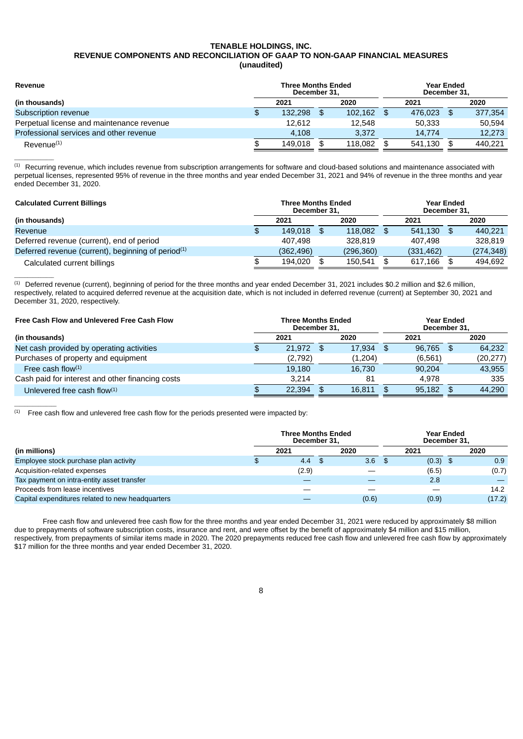#### **TENABLE HOLDINGS, INC. REVENUE COMPONENTS AND RECONCILIATION OF GAAP TO NON-GAAP FINANCIAL MEASURES (unaudited)**

| Revenue                                   | <b>Three Months Ended</b><br>December 31, |      |         |      | <b>Year Ended</b><br>December 31. |  |         |  |
|-------------------------------------------|-------------------------------------------|------|---------|------|-----------------------------------|--|---------|--|
| (in thousands)                            | 2021                                      |      | 2020    | 2021 |                                   |  | 2020    |  |
| Subscription revenue                      | 132.298                                   | - \$ | 102.162 |      | 476.023                           |  | 377,354 |  |
| Perpetual license and maintenance revenue | 12.612                                    |      | 12.548  |      | 50.333                            |  | 50.594  |  |
| Professional services and other revenue   | 4.108                                     |      | 3.372   |      | 14.774                            |  | 12,273  |  |
| Revenue <sup>(1)</sup>                    | 149.018                                   | - \$ | 118.082 |      | 541.130                           |  | 440.221 |  |

 $<sup>(1)</sup>$  Recurring revenue, which includes revenue from subscription arrangements for software and cloud-based solutions and maintenance associated with</sup> perpetual licenses, represented 95% of revenue in the three months and year ended December 31, 2021 and 94% of revenue in the three months and year ended December 31, 2020.

| <b>Calculated Current Billings</b>                    | <b>Three Months Ended</b><br>December 31. |           |  |           | <b>Year Ended</b><br>December 31. |           |  |            |
|-------------------------------------------------------|-------------------------------------------|-----------|--|-----------|-----------------------------------|-----------|--|------------|
| (in thousands)                                        |                                           | 2021      |  | 2020      |                                   | 2021      |  | 2020       |
| Revenue                                               |                                           | 149.018   |  | 118,082   |                                   | 541.130   |  | 440.221    |
| Deferred revenue (current), end of period             |                                           | 407.498   |  | 328,819   |                                   | 407.498   |  | 328.819    |
| Deferred revenue (current), beginning of period $(1)$ |                                           | (362.496) |  | (296.360) |                                   | (331.462) |  | (274, 348) |
| Calculated current billings                           |                                           | 194.020   |  | 150.541   |                                   | 617.166   |  | 494.692    |

 $<sup>(1)</sup>$  Deferred revenue (current), beginning of period for the three months and year ended December 31, 2021 includes \$0.2 million and \$2.6 million,</sup> respectively, related to acquired deferred revenue at the acquisition date, which is not included in deferred revenue (current) at September 30, 2021 and December 31, 2020, respectively.

| Free Cash Flow and Unlevered Free Cash Flow      | <b>Three Months Ended</b><br>December 31. |         |  |         |     | <b>Year Ended</b><br>December 31. |     |           |  |
|--------------------------------------------------|-------------------------------------------|---------|--|---------|-----|-----------------------------------|-----|-----------|--|
| (in thousands)                                   |                                           | 2021    |  | 2020    |     | 2021                              |     | 2020      |  |
| Net cash provided by operating activities        | £.                                        | 21.972  |  | 17.934  | \$. | 96.765                            | -SG | 64.232    |  |
| Purchases of property and equipment              |                                           | (2,792) |  | (1,204) |     | (6, 561)                          |     | (20, 277) |  |
| Free cash flow $(1)$                             |                                           | 19.180  |  | 16.730  |     | 90.204                            |     | 43.955    |  |
| Cash paid for interest and other financing costs |                                           | 3.214   |  | 81      |     | 4.978                             |     | 335       |  |
| Unlevered free cash flow $(1)$                   |                                           | 22,394  |  | 16.811  | £.  | 95.182                            |     | 44.290    |  |

 Free cash flow and unlevered free cash flow for the periods presented were impacted by: (1)

 $\frac{1}{2}$  ,  $\frac{1}{2}$  ,  $\frac{1}{2}$  ,  $\frac{1}{2}$  ,  $\frac{1}{2}$  ,  $\frac{1}{2}$ 

|                                                  |      | <b>Three Months Ended</b><br>December 31. |       | <b>Year Ended</b><br>December 31. |            |  |        |  |
|--------------------------------------------------|------|-------------------------------------------|-------|-----------------------------------|------------|--|--------|--|
| (in millions)                                    | 2021 |                                           | 2020  |                                   | 2021       |  | 2020   |  |
| Employee stock purchase plan activity            | ъ    | 4.4                                       | 3.6   |                                   | $(0.3)$ \$ |  | 0.9    |  |
| Acquisition-related expenses                     |      | (2.9)                                     |       |                                   | (6.5)      |  | (0.7)  |  |
| Tax payment on intra-entity asset transfer       |      |                                           |       |                                   | 2.8        |  |        |  |
| Proceeds from lease incentives                   |      |                                           |       |                                   |            |  | 14.2   |  |
| Capital expenditures related to new headquarters |      |                                           | (0.6) |                                   | (0.9)      |  | (17.2) |  |

Free cash flow and unlevered free cash flow for the three months and year ended December 31, 2021 were reduced by approximately \$8 million due to prepayments of software subscription costs, insurance and rent, and were offset by the benefit of approximately \$4 million and \$15 million, respectively, from prepayments of similar items made in 2020. The 2020 prepayments reduced free cash flow and unlevered free cash flow by approximately \$17 million for the three months and year ended December 31, 2020.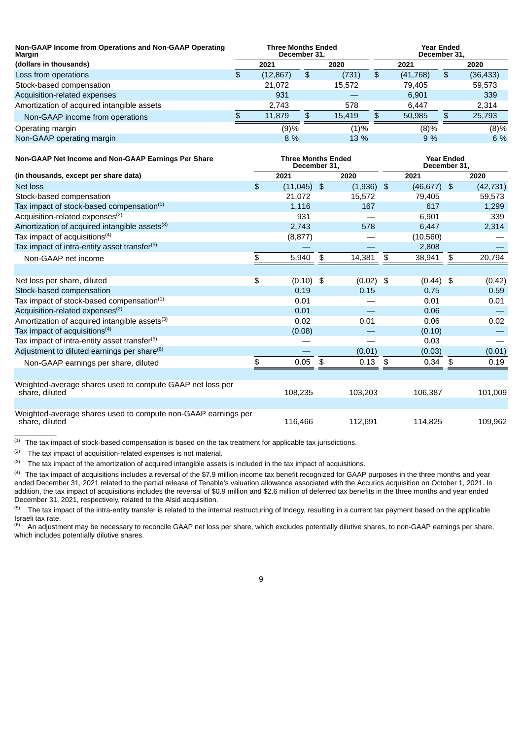| Non-GAAP Income from Operations and Non-GAAP Operating<br>Margin | <b>Three Months Ended</b><br>December 31. |      |         |     |          | Year Ended | December 31. |  |  |  |
|------------------------------------------------------------------|-------------------------------------------|------|---------|-----|----------|------------|--------------|--|--|--|
| (dollars in thousands)                                           | 2021                                      | 2020 |         |     | 2021     |            | 2020         |  |  |  |
| Loss from operations                                             | (12, 867)                                 | \$   | (731)   | \$  | (41,768) | \$         | (36, 433)    |  |  |  |
| Stock-based compensation                                         | 21.072                                    |      | 15,572  |     | 79.405   |            | 59,573       |  |  |  |
| Acquisition-related expenses                                     | 931                                       |      |         |     | 6.901    |            | 339          |  |  |  |
| Amortization of acquired intangible assets                       | 2,743                                     |      | 578     |     | 6.447    |            | 2,314        |  |  |  |
| Non-GAAP income from operations                                  | 11.879                                    | \$   | 15.419  | \$. | 50.985   |            | 25,793       |  |  |  |
| Operating margin                                                 | (9)%                                      |      | $(1)\%$ |     | $(8)\%$  |            | $(8)\%$      |  |  |  |
| Non-GAAP operating margin                                        | 8 %                                       |      | 13 %    |     | $9\%$    |            | 6 %          |  |  |  |

| Non-GAAP Net Income and Non-GAAP Earnings Per Share                             |                | <b>Three Months Ended</b><br>December 31, |              | <b>Year Ended</b><br>December 31, |    |           |  |
|---------------------------------------------------------------------------------|----------------|-------------------------------------------|--------------|-----------------------------------|----|-----------|--|
| (in thousands, except per share data)                                           |                | 2021                                      | 2020         | 2021                              |    | 2020      |  |
| <b>Net loss</b>                                                                 | $\mathfrak{P}$ | $(11,045)$ \$                             | $(1,936)$ \$ | $(46, 677)$ \$                    |    | (42, 731) |  |
| Stock-based compensation                                                        |                | 21.072                                    | 15,572       | 79.405                            |    | 59,573    |  |
| Tax impact of stock-based compensation <sup>(1)</sup>                           |                | 1,116                                     | 167          | 617                               |    | 1.299     |  |
| Acquisition-related expenses <sup>(2)</sup>                                     |                | 931                                       |              | 6,901                             |    | 339       |  |
| Amortization of acquired intangible assets <sup>(3)</sup>                       |                | 2,743                                     | 578          | 6,447                             |    | 2,314     |  |
| Tax impact of acquisitions $(4)$                                                |                | (8, 877)                                  |              | (10, 560)                         |    |           |  |
| Tax impact of intra-entity asset transfer <sup>(5)</sup>                        |                |                                           |              | 2,808                             |    |           |  |
| Non-GAAP net income                                                             | \$             | 5,940                                     | \$<br>14,381 | \$<br>38,941                      | \$ | 20,794    |  |
|                                                                                 |                |                                           |              |                                   |    |           |  |
| Net loss per share, diluted                                                     | \$             | $(0.10)$ \$                               | $(0.02)$ \$  | $(0.44)$ \$                       |    | (0.42)    |  |
| Stock-based compensation                                                        |                | 0.19                                      | 0.15         | 0.75                              |    | 0.59      |  |
| Tax impact of stock-based compensation <sup>(1)</sup>                           |                | 0.01                                      |              | 0.01                              |    | 0.01      |  |
| Acquisition-related expenses <sup>(2)</sup>                                     |                | 0.01                                      |              | 0.06                              |    |           |  |
| Amortization of acquired intangible assets <sup>(3)</sup>                       |                | 0.02                                      | 0.01         | 0.06                              |    | 0.02      |  |
| Tax impact of acquisitions <sup>(4)</sup>                                       |                | (0.08)                                    |              | (0.10)                            |    |           |  |
| Tax impact of intra-entity asset transfer <sup>(5)</sup>                        |                |                                           |              | 0.03                              |    |           |  |
| Adjustment to diluted earnings per share <sup>(6)</sup>                         |                |                                           | (0.01)       | (0.03)                            |    | (0.01)    |  |
| Non-GAAP earnings per share, diluted                                            | \$             | 0.05                                      | \$<br>0.13   | \$<br>0.34                        | \$ | 0.19      |  |
|                                                                                 |                |                                           |              |                                   |    |           |  |
| Weighted-average shares used to compute GAAP net loss per<br>share, diluted     |                | 108,235                                   | 103,203      | 106,387                           |    | 101,009   |  |
|                                                                                 |                |                                           |              |                                   |    |           |  |
| Weighted-average shares used to compute non-GAAP earnings per<br>share, diluted |                | 116,466                                   | 112,691      | 114,825                           |    | 109,962   |  |

 $<sup>(1)</sup>$  The tax impact of stock-based compensation is based on the tax treatment for applicable tax jurisdictions.</sup>

 The tax impact of acquisition-related expenses is not material. (2)

 $\frac{1}{2}$  ,  $\frac{1}{2}$  ,  $\frac{1}{2}$  ,  $\frac{1}{2}$  ,  $\frac{1}{2}$  ,  $\frac{1}{2}$ 

 The tax impact of the amortization of acquired intangible assets is included in the tax impact of acquisitions. (3)

The tax impact of acquisitions includes a reversal of the \$7.9 million income tax benefit recognized for GAAP purposes in the three months and year ended December 31, 2021 related to the partial release of Tenable's valuation allowance associated with the Accurics acquisition on October 1, 2021. In addition, the tax impact of acquisitions includes the reversal of \$0.9 million and \$2.6 million of deferred tax benefits in the three months and year ended December 31, 2021, respectively, related to the Alsid acquisition. (4)

 The tax impact of the intra-entity transfer is related to the internal restructuring of Indegy, resulting in a current tax payment based on the applicable Israeli tax rate. (5)

 An adjustment may be necessary to reconcile GAAP net loss per share, which excludes potentially dilutive shares, to non-GAAP earnings per share, which includes potentially dilutive shares. (6)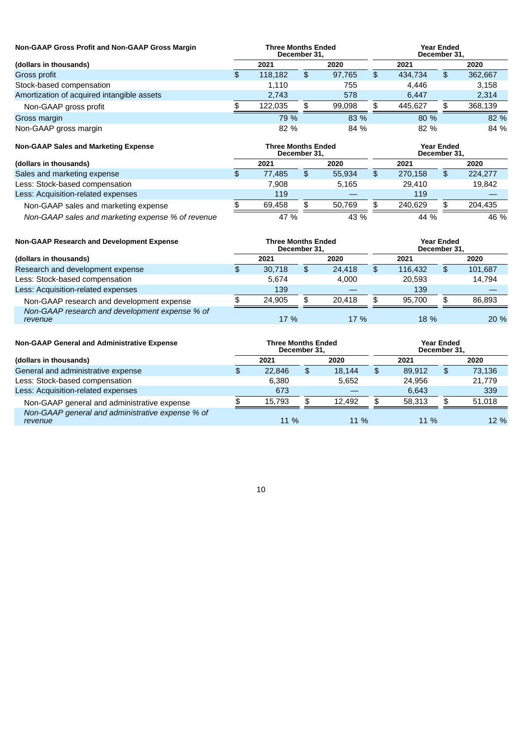| Non-GAAP Gross Profit and Non-GAAP Gross Margin | <b>Three Months Ended</b><br>Year Ended<br>December 31.<br>December 31, |                           |              |        |    |         |                            |         |  |  |
|-------------------------------------------------|-------------------------------------------------------------------------|---------------------------|--------------|--------|----|---------|----------------------------|---------|--|--|
| (dollars in thousands)                          |                                                                         | 2021                      |              | 2020   |    | 2021    |                            | 2020    |  |  |
| Gross profit                                    | \$                                                                      | 118.182                   | \$           | 97.765 | \$ | 434.734 | \$                         | 362,667 |  |  |
| Stock-based compensation                        |                                                                         | 1,110                     |              | 755    |    | 4,446   |                            | 3,158   |  |  |
| Amortization of acquired intangible assets      |                                                                         | 2,743                     |              | 578    |    | 6,447   |                            | 2,314   |  |  |
| Non-GAAP gross profit                           |                                                                         | 122.035                   | \$           | 99.098 | \$ | 445.627 | \$                         | 368,139 |  |  |
| Gross margin                                    |                                                                         | 79 %                      |              | 83 %   |    | 80 %    |                            | 82 %    |  |  |
| Non-GAAP gross margin                           |                                                                         | 82 %                      |              | 84 %   |    | 82 %    |                            | 84 %    |  |  |
| Non-GAAP Sales and Marketing Expense            |                                                                         | <b>Three Months Ended</b> | December 31, |        |    |         | Year Ended<br>December 31, |         |  |  |
| (dollars in thousands)                          |                                                                         | 2021                      |              | 2020   |    | 2021    |                            | 2020    |  |  |
| Sales and marketing expense                     | \$                                                                      | 77.485                    | \$           | 55,934 | \$ | 270,158 | $\mathfrak{L}$             | 224,277 |  |  |
| Less: Stock-based compensation                  |                                                                         | 7.908                     |              | 5,165  |    | 29.410  |                            | 19,842  |  |  |
| Less: Acquisition-related expenses              |                                                                         | 119                       |              |        |    | 119     |                            |         |  |  |

Less: Acquisition-related expenses 119 and 119 and 119 and 119 and 119 and 119 and 119 and 119 and 119 and 119  $-$ 

| Non-GAAP sales and marketing expense              | 69.458 \$ | 50.769 \$ | 240.629 | . SI | 204.435 |
|---------------------------------------------------|-----------|-----------|---------|------|---------|
| Non-GAAP sales and marketing expense % of revenue | 47 %      | 43 %      | 44 %    |      | 46 %    |

| <b>Year Ended</b><br>December 31, |  |       |  |  |  |  |  |  |
|-----------------------------------|--|-------|--|--|--|--|--|--|
| 2021<br>2020                      |  |       |  |  |  |  |  |  |
| 110, 100                          |  | 10100 |  |  |  |  |  |  |

| Non-GAAP Research and Development Expense                 | <b>Three Months Ended</b><br>Year Ended<br>December 31.<br>December 31. |        |      |        |     |         |          |         |  |  |
|-----------------------------------------------------------|-------------------------------------------------------------------------|--------|------|--------|-----|---------|----------|---------|--|--|
| (dollars in thousands)                                    |                                                                         | 2021   | 2020 |        |     | 2021    | 2020     |         |  |  |
| Research and development expense                          | Ф                                                                       | 30.718 | \$   | 24.418 | \$  | 116,432 | <b>D</b> | 101.687 |  |  |
| Less: Stock-based compensation                            |                                                                         | 5.674  |      | 4.000  |     | 20.593  |          | 14.794  |  |  |
| Less: Acquisition-related expenses                        |                                                                         | 139    |      |        |     | 139     |          |         |  |  |
| Non-GAAP research and development expense                 |                                                                         | 24.905 | \$   | 20.418 | \$. | 95.700  |          | 86.893  |  |  |
| Non-GAAP research and development expense % of<br>revenue |                                                                         | 17 %   |      | 17 %   |     | 18 %    |          | $20\%$  |  |  |

| Non-GAAP General and Administrative Expense                 | <b>Three Months Ended</b><br>December 31. |        |    |        |     | <b>Year Ended</b><br>December 31. |  |        |      |  |  |
|-------------------------------------------------------------|-------------------------------------------|--------|----|--------|-----|-----------------------------------|--|--------|------|--|--|
| (dollars in thousands)                                      | 2020<br>2021                              |        |    | 2021   |     |                                   |  |        | 2020 |  |  |
| General and administrative expense                          | \$.                                       | 22.846 | \$ | 18.144 | \$  | 89.912                            |  | 73.136 |      |  |  |
| Less: Stock-based compensation                              |                                           | 6.380  |    | 5.652  |     | 24.956                            |  | 21,779 |      |  |  |
| Less: Acquisition-related expenses                          |                                           | 673    |    |        |     | 6.643                             |  | 339    |      |  |  |
| Non-GAAP general and administrative expense                 |                                           | 15.793 | \$ | 12.492 | \$. | 58.313                            |  | 51,018 |      |  |  |
| Non-GAAP general and administrative expense % of<br>revenue |                                           | 11 %   |    | $11\%$ |     | 11 %                              |  | $12\%$ |      |  |  |